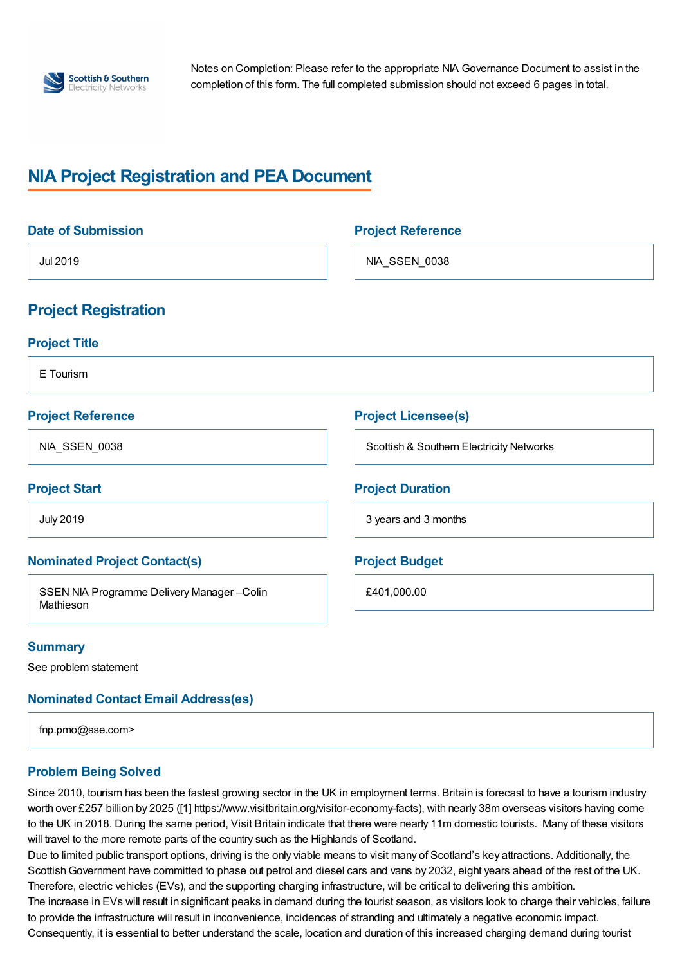

Notes on Completion: Please refer to the appropriate NIA Governance Document to assist in the completion of this form. The full completed submission should not exceed 6 pages in total.

# **NIA Project Registration and PEA Document**

| <b>Date of Submission</b>                              | <b>Project Reference</b>                 |
|--------------------------------------------------------|------------------------------------------|
| Jul 2019                                               | NIA_SSEN_0038                            |
| <b>Project Registration</b>                            |                                          |
| <b>Project Title</b>                                   |                                          |
| E Tourism                                              |                                          |
| <b>Project Reference</b>                               | <b>Project Licensee(s)</b>               |
| NIA_SSEN_0038                                          | Scottish & Southern Electricity Networks |
| <b>Project Start</b>                                   | <b>Project Duration</b>                  |
| <b>July 2019</b>                                       | 3 years and 3 months                     |
| <b>Nominated Project Contact(s)</b>                    | <b>Project Budget</b>                    |
| SSEN NIA Programme Delivery Manager-Colin<br>Mathieson | £401,000.00                              |
| <b>Summary</b>                                         |                                          |

See problem statement

**Nominated Contact Email Address(es)**

fnp.pmo@sse.com>

## **Problem Being Solved**

Since 2010, tourism has been the fastest growing sector in the UK in employment terms. Britain is forecast to have a tourism industry worth over £257 billion by 2025 ([1] https://www.visitbritain.org/visitor-economy-facts), with nearly 38m overseas visitors having come to the UK in 2018. During the same period, Visit Britain indicate that there were nearly 11m domestic tourists. Many of these visitors will travel to the more remote parts of the country such as the Highlands of Scotland.

Due to limited public transport options, driving is the only viable means to visit many of Scotland's key attractions. Additionally, the Scottish Government have committed to phase out petrol and diesel cars and vans by 2032, eight years ahead of the rest of the UK. Therefore, electric vehicles (EVs), and the supporting charging infrastructure, will be critical to delivering this ambition.

The increase in EVs will result in significant peaks in demand during the tourist season, as visitors look to charge their vehicles, failure to provide the infrastructure will result in inconvenience, incidences of stranding and ultimately a negative economic impact.

Consequently, it is essential to better understand the scale, location and duration of this increased charging demand during tourist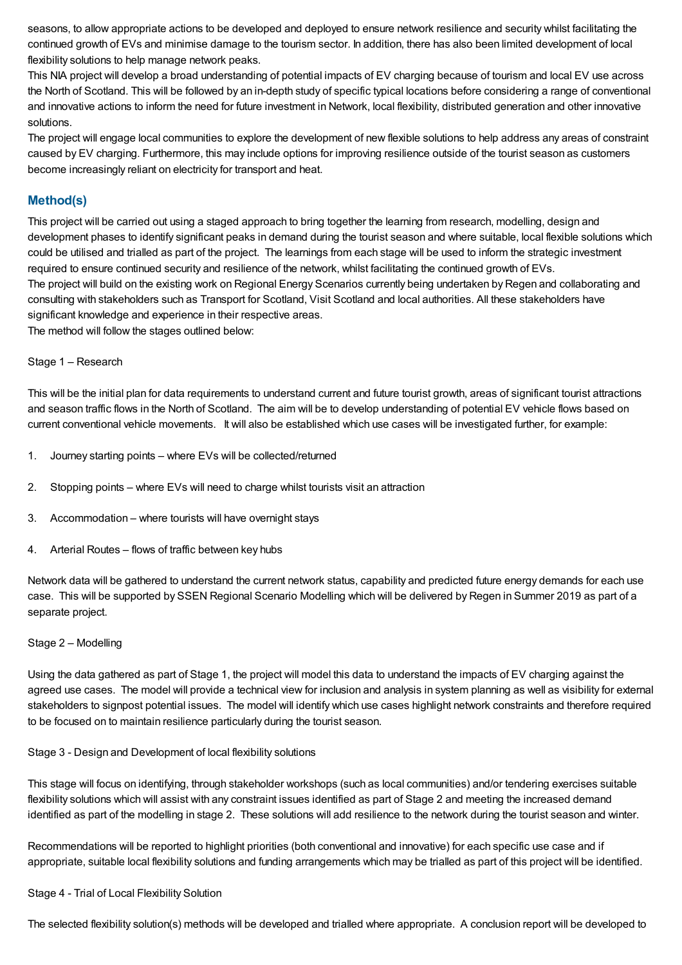seasons, to allow appropriate actions to be developed and deployed to ensure network resilience and security whilst facilitating the continued growth of EVs and minimise damage to the tourism sector. In addition, there has also been limited development of local flexibility solutions to help manage network peaks.

This NIA project will develop a broad understanding of potential impacts of EV charging because of tourism and local EV use across the North of Scotland. This will be followed by an in-depth study of specific typical locations before considering a range of conventional and innovative actions to inform the need for future investment in Network, local flexibility, distributed generation and other innovative solutions.

The project will engage local communities to explore the development of new flexible solutions to help address any areas of constraint caused by EV charging. Furthermore, this may include options for improving resilience outside of the tourist season as customers become increasingly reliant on electricity for transport and heat.

## **Method(s)**

This project will be carried out using a staged approach to bring together the learning from research, modelling, design and development phases to identify significant peaks in demand during the tourist season and where suitable, local flexible solutions which could be utilised and trialled as part of the project. The learnings from each stage will be used to inform the strategic investment required to ensure continued security and resilience of the network, whilst facilitating the continued growth of EVs. The project will build on the existing work on Regional Energy Scenarios currently being undertaken by Regen and collaborating and consulting with stakeholders such as Transport for Scotland, Visit Scotland and local authorities. All these stakeholders have significant knowledge and experience in their respective areas.

The method will follow the stages outlined below:

#### Stage 1 – Research

This will be the initial plan for data requirements to understand current and future tourist growth, areas of significant tourist attractions and season traffic flows in the North of Scotland. The aim will be to develop understanding of potential EV vehicle flows based on current conventional vehicle movements. It will also be established which use cases will be investigated further, for example:

- 1. Journey starting points where EVs will be collected/returned
- 2. Stopping points where EVs will need to charge whilst tourists visit an attraction
- 3. Accommodation where tourists will have overnight stays
- 4. Arterial Routes flows of traffic between key hubs

Network data will be gathered to understand the current network status, capability and predicted future energy demands for each use case. This will be supported by SSEN Regional Scenario Modelling which will be delivered by Regen in Summer 2019 as part of a separate project.

#### Stage 2 – Modelling

Using the data gathered as part of Stage 1, the project will model this data to understand the impacts of EV charging against the agreed use cases. The model will provide a technical view for inclusion and analysis in system planning as well as visibility for external stakeholders to signpost potential issues. The model will identify which use cases highlight network constraints and therefore required to be focused on to maintain resilience particularly during the tourist season.

#### Stage 3 - Design and Development of local flexibility solutions

This stage will focus on identifying, through stakeholder workshops (such as local communities) and/or tendering exercises suitable flexibility solutions which will assist with any constraint issues identified as part of Stage 2 and meeting the increased demand identified as part of the modelling in stage 2. These solutions will add resilience to the network during the tourist season and winter.

Recommendations will be reported to highlight priorities (both conventional and innovative) for each specific use case and if appropriate, suitable local flexibility solutions and funding arrangements which may be trialled as part of this project will be identified.

#### Stage 4 - Trial of Local Flexibility Solution

The selected flexibility solution(s) methods will be developed and trialled where appropriate. A conclusion report will be developed to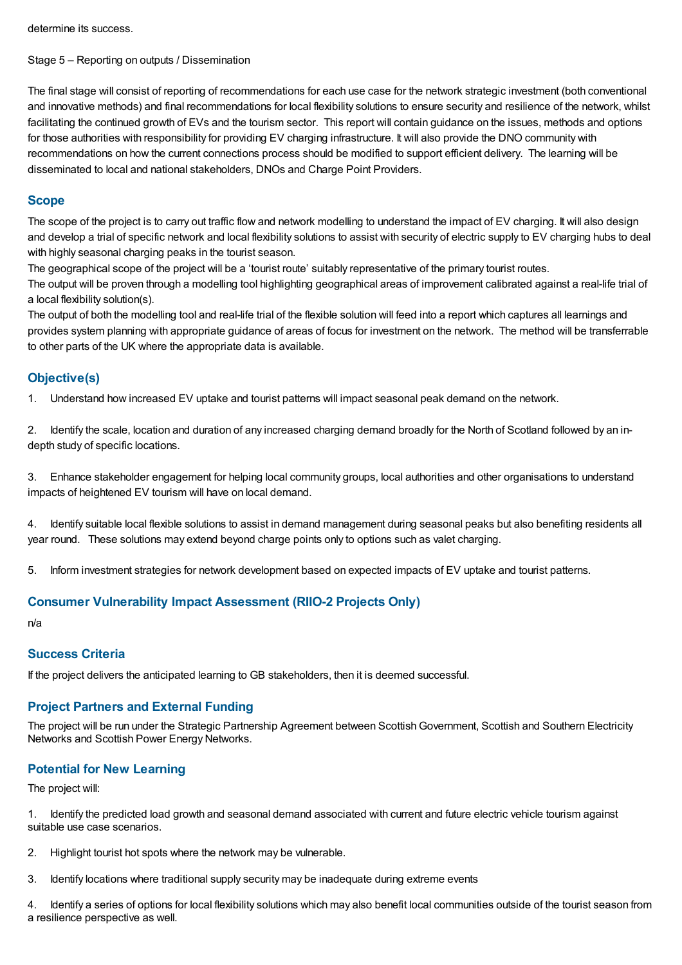determine its success.

Stage 5 – Reporting on outputs / Dissemination

The final stage will consist of reporting of recommendations for each use case for the network strategic investment (both conventional and innovative methods) and final recommendations for local flexibility solutions to ensure security and resilience of the network, whilst facilitating the continued growth of EVs and the tourism sector. This report will contain guidance on the issues, methods and options for those authorities with responsibility for providing EV charging infrastructure. It will also provide the DNO community with recommendations on how the current connections process should be modified to support efficient delivery. The learning will be disseminated to local and national stakeholders, DNOs and Charge Point Providers.

## **Scope**

The scope of the project is to carry out traffic flow and network modelling to understand the impact of EV charging. It will also design and develop a trial of specific network and local flexibility solutions to assist with security of electric supply to EV charging hubs to deal with highly seasonal charging peaks in the tourist season.

The geographical scope of the project will be a 'tourist route' suitably representative of the primary tourist routes.

The output will be proven through a modelling tool highlighting geographical areas of improvement calibrated against a real-life trial of a local flexibility solution(s).

The output of both the modelling tool and real-life trial of the flexible solution will feed into a report which captures all learnings and provides system planning with appropriate guidance of areas of focus for investment on the network. The method will be transferrable to other parts of the UK where the appropriate data is available.

## **Objective(s)**

1. Understand how increased EV uptake and tourist patterns will impact seasonal peak demand on the network.

2. Identify the scale, location and duration of any increased charging demand broadly for the North of Scotland followed by an indepth study of specific locations.

3. Enhance stakeholder engagement for helping local community groups, local authorities and other organisations to understand impacts of heightened EV tourism will have on local demand.

4. Identify suitable local flexible solutions to assist in demand management during seasonal peaks but also benefiting residents all year round. These solutions may extend beyond charge points only to options such as valet charging.

5. Inform investment strategies for network development based on expected impacts of EV uptake and tourist patterns.

## **Consumer Vulnerability Impact Assessment (RIIO-2 Projects Only)**

n/a

## **Success Criteria**

If the project delivers the anticipated learning to GB stakeholders, then it is deemed successful.

# **Project Partners and External Funding**

The proiect will be run under the Strategic Partnership Agreement between Scottish Government, Scottish and Southern Electricity Networks and Scottish Power Energy Networks.

# **Potential for New Learning**

The project will:

1. Identify the predicted load growth and seasonal demand associated with current and future electric vehicle tourism against suitable use case scenarios.

- 2. Highlight tourist hot spots where the network may be vulnerable.
- 3. Identify locations where traditional supply security may be inadequate during extreme events

4. Identify a series of options for local flexibility solutions which may also benefit local communities outside of the tourist season from a resilience perspective as well.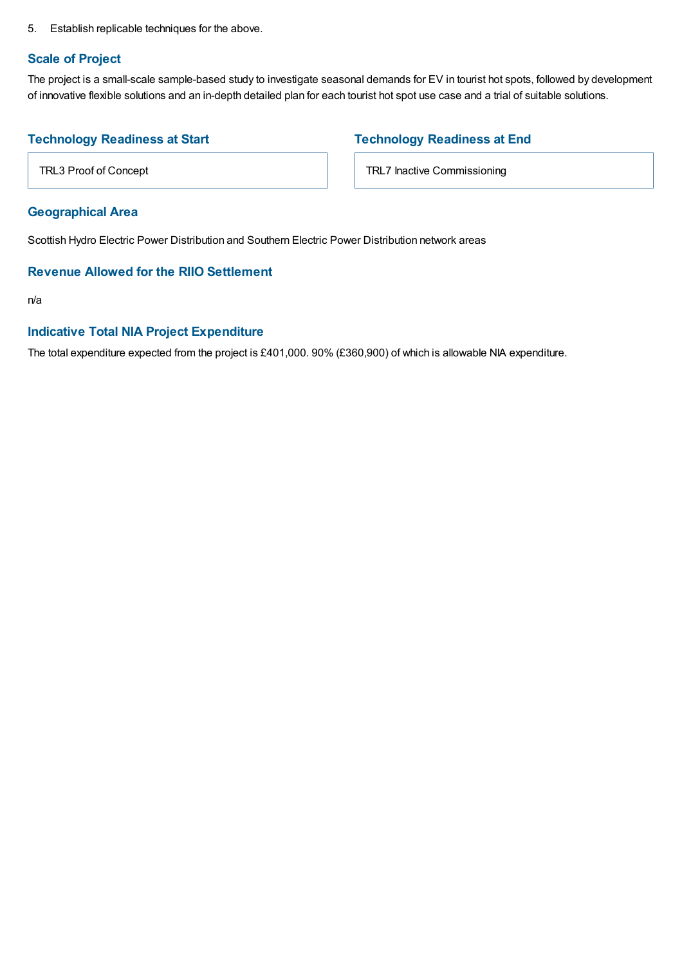5. Establish replicable techniques for the above.

#### **Scale of Project**

The project is a small-scale sample-based study to investigate seasonal demands for EV in tourist hot spots, followed by development of innovative flexible solutions and an in-depth detailed plan for each tourist hot spot use case and a trial of suitable solutions.

## **Technology Readiness at Start**

**Technology Readiness at End**

TRL7 Inactive Commissioning

TRL3 Proof of Concept

## **Geographical Area**

Scottish Hydro Electric Power Distribution and Southern Electric Power Distribution network areas

## **Revenue Allowed for the RIIO Settlement**

n/a

## **Indicative Total NIA Project Expenditure**

The total expenditure expected from the project is £401,000. 90% (£360,900) of which is allowable NIA expenditure.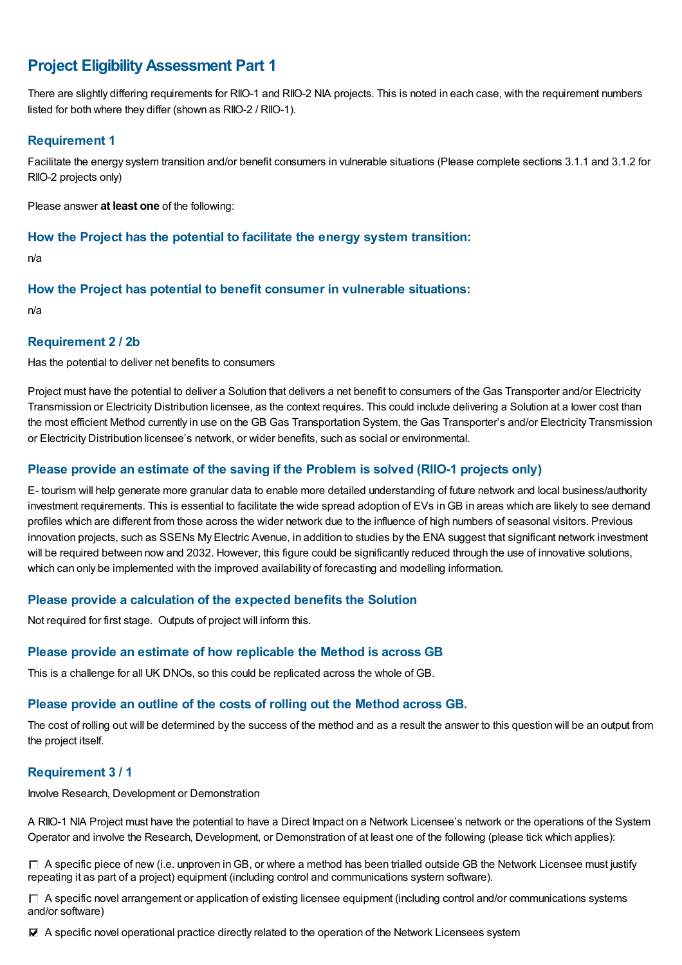# **Project EligibilityAssessment Part 1**

There are slightly differing requirements for RIIO-1 and RIIO-2 NIA projects. This is noted in each case, with the requirement numbers listed for both where they differ (shown as RIIO-2 / RIIO-1).

#### **Requirement 1**

Facilitate the energy system transition and/or benefit consumers in vulnerable situations (Please complete sections 3.1.1 and 3.1.2 for RIIO-2 projects only)

Please answer **at least one** of the following:

#### **How the Project has the potential to facilitate the energy system transition:**

n/a

#### **How the Project has potential to benefit consumer in vulnerable situations:**

n/a

#### **Requirement 2 / 2b**

Has the potential to deliver net benefits to consumers

Project must have the potential to deliver a Solution that delivers a net benefit to consumers of the Gas Transporter and/or Electricity Transmission or Electricity Distribution licensee, as the context requires. This could include delivering a Solution at a lower cost than the most efficient Method currently in use on the GB Gas Transportation System, the Gas Transporter's and/or Electricity Transmission or Electricity Distribution licensee's network, or wider benefits, such as social or environmental.

## **Please provide an estimate of the saving if the Problem is solved (RIIO-1 projects only)**

E- tourism will help generate more granular data to enable more detailed understanding of future network and local business/authority investment requirements. This is essential to facilitate the wide spread adoption of EVs in GB in areas which are likely to see demand profiles which are different from those across the wider network due to the influence of high numbers of seasonal visitors. Previous innovation projects, such as SSENs My Electric Avenue, in addition to studies by the ENA suggest that significant network investment will be required between now and 2032. However, this figure could be significantly reduced through the use of innovative solutions, which can only be implemented with the improved availability of forecasting and modelling information.

## **Please provide a calculation of the expected benefits the Solution**

Not required for first stage. Outputs of project will inform this.

## **Please provide an estimate of how replicable the Method is across GB**

This is a challenge for all UK DNOs, so this could be replicated across the whole of GB.

# **Please provide an outline of the costs of rolling out the Method across GB.**

The cost of rolling out will be determined by the success of the method and as a result the answer to this question will be an output from the project itself.

## **Requirement 3 / 1**

Involve Research, Development or Demonstration

A RIIO-1 NIA Project must have the potential to have a Direct Impact on a Network Licensee's network or the operations of the System Operator and involve the Research, Development, or Demonstration of at least one of the following (please tick which applies):

 $\Box$  A specific piece of new (i.e. unproven in GB, or where a method has been trialled outside GB the Network Licensee must justify repeating it as part of a project) equipment (including control and communications system software).

 $\Box$  A specific novel arrangement or application of existing licensee equipment (including control and/or communications systems and/or software)

A specific novel operational practice directly related to the operation of the Network Licensees system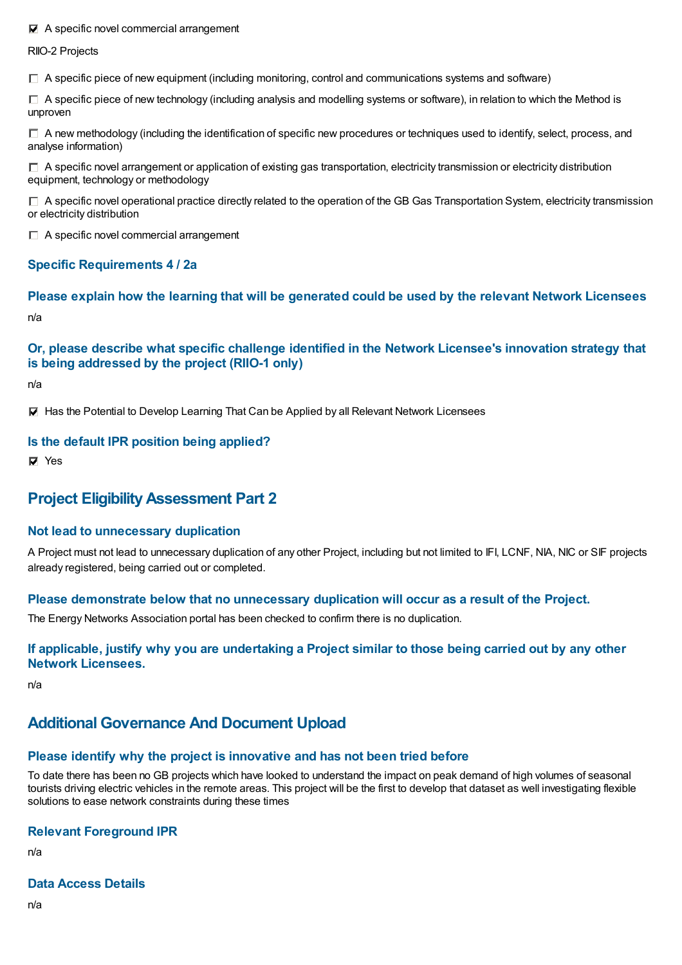#### $\blacksquare$  A specific novel commercial arrangement

RIIO-2 Projects

 $\Box$  A specific piece of new equipment (including monitoring, control and communications systems and software)

 $\Box$  A specific piece of new technology (including analysis and modelling systems or software), in relation to which the Method is unproven

 $\Box$  A new methodology (including the identification of specific new procedures or techniques used to identify, select, process, and analyse information)

 $\Box$  A specific novel arrangement or application of existing gas transportation, electricity transmission or electricity distribution equipment, technology or methodology

 $\Box$  A specific novel operational practice directly related to the operation of the GB Gas Transportation System, electricity transmission or electricity distribution

 $\Box$  A specific novel commercial arrangement

## **Specific Requirements 4 / 2a**

**Please explain how the learning that will be generated could be used by the relevant Network Licensees** n/a

## **Or, please describe what specific challenge identified in the Network Licensee's innovation strategy that is being addressed by the project (RIIO-1 only)**

n/a

**Has the Potential to Develop Learning That Can be Applied by all Relevant Network Licensees** 

#### **Is the default IPR position being applied?**

**D** Yes

# **Project EligibilityAssessment Part 2**

#### **Not lead to unnecessary duplication**

A Project must not lead to unnecessary duplication of any other Project, including but not limited to IFI, LCNF, NIA, NIC or SIF projects already registered, being carried out or completed.

#### **Please demonstrate below that no unnecessary duplication will occur as a result of the Project.**

The Energy Networks Association portal has been checked to confirm there is no duplication.

#### If applicable, justify why you are undertaking a Project similar to those being carried out by any other **Network Licensees.**

n/a

# **Additional Governance And Document Upload**

# **Please identify why the project is innovative and has not been tried before**

To date there has been no GB projects which have looked to understand the impact on peak demand of high volumes of seasonal tourists driving electric vehicles in the remote areas. This project will be the first to develop that dataset as well investigating flexible solutions to ease network constraints during these times

# **Relevant Foreground IPR**

n/a

#### **Data Access Details**

n/a